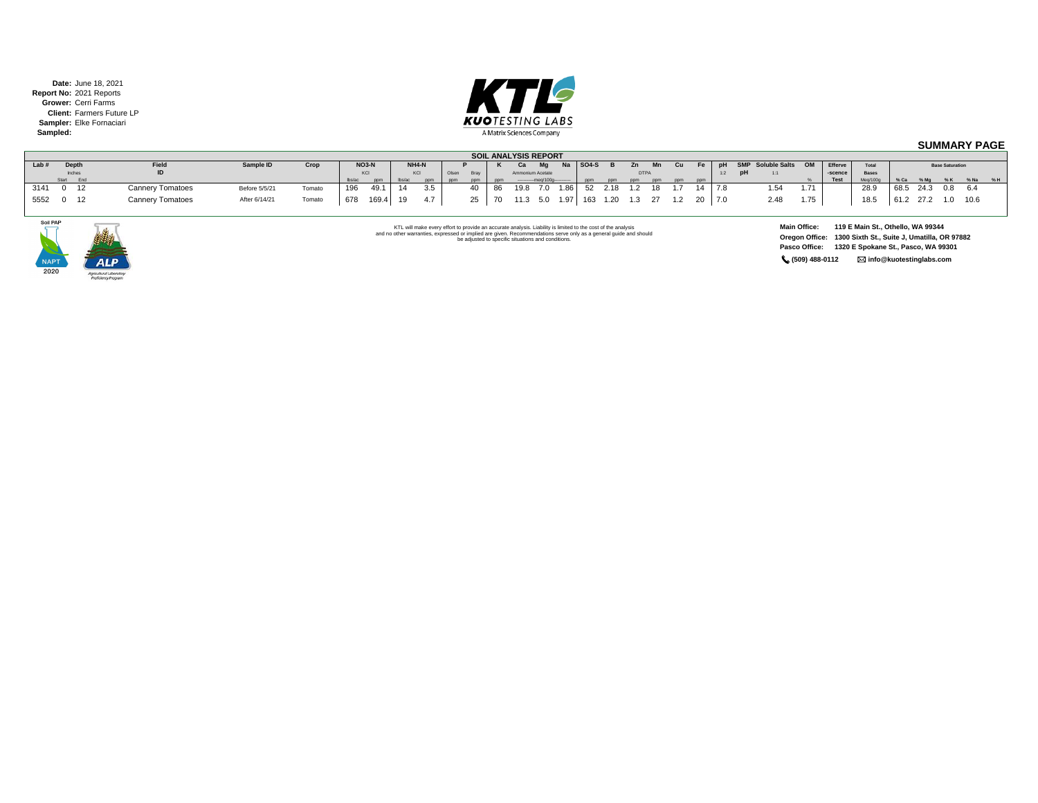**Date:** June 18, 2021 **Report No:** 2021 Reports **Grower:** Cerri Farms **Client:** Farmers Future LP **Sampler:** Elke Fornaciari **Sampled:**



## **SUMMARY PAGE**

|      |              |                         | <b>SOIL ANALYSIS REPORT</b> |        |        |              |       |       |       |      |    |       |                               |           |           |        |                                   |     |     |     |     |                         |      |             |              |                        |               |  |           |  |
|------|--------------|-------------------------|-----------------------------|--------|--------|--------------|-------|-------|-------|------|----|-------|-------------------------------|-----------|-----------|--------|-----------------------------------|-----|-----|-----|-----|-------------------------|------|-------------|--------------|------------------------|---------------|--|-----------|--|
| Lab# | Depth        | Field                   | Sample ID                   | Crop   |        | <b>NO3-N</b> |       | NH4-N |       |      |    | Ca    | Ma                            | <b>Na</b> | $ $ SO4-S |        |                                   | Mn  | Cu. | Fe  |     | pH SMP Soluble Salts OM |      | Efferve     | Total        | <b>Base Saturation</b> |               |  |           |  |
|      | Inches       | ID                      |                             |        |        |              |       | KCI   | Olser | Brav |    |       | Ammonium Acetate              |           |           |        | <b>DTPA</b>                       |     |     |     | 1:2 | pH<br>1:1               |      | -scence     | <b>Bases</b> |                        |               |  |           |  |
|      | Start<br>End |                         |                             |        | lbs/ac | ppm          | bs/ac | ppm   | ppm   | nnm  |    |       | ----------mea/100a----------- |           | nnm       | nnm    | pom                               | pom | ppm |     |     |                         |      | <b>Test</b> | Meg/100g     | % Ca                   | % Ma          |  | %K %Na %H |  |
| 3141 | $0$ 12       | <b>Cannery Tomatoes</b> | Before 5/5/21               | Tomato |        | 49.1         |       |       |       | 40   | 86 | 19. R | 70 <sup>-1</sup>              | 1.86      |           | 52 218 | 12 18                             |     |     |     |     | 1.54                    | 1.71 |             | 28.9         |                        | 68.5 24.3 0.8 |  | 6.4       |  |
| 5552 | $0 \quad 12$ | <b>Cannery Tomatoes</b> | After 6/14/21               | Tomato | 678    | 169.4        | 19    |       |       | 25   | 70 |       |                               |           |           |        | 11.3 5.0 1.97 163 1.20 1.3 27 1.2 |     |     | -20 | 7.0 | 2.48                    | 1.75 |             | 18.5         |                        | 61.2 27.2 1.0 |  | 10.6      |  |



KTL will make every effort to provide an accurate analysis. Liability is limited to the cost of the analysis<br>and no other warranties, expressed or implied are given. Recommendations serve only as a general guide and should

**Main Office: 119 E Main St., Othello, WA 99344 Oregon Office: 1300 Sixth St., Suite J, Umatilla, OR 97882 Pasco Office: 1320 E Spokane St., Pasco, WA 99301 (509) 488-0112 info@kuotestinglabs.com**